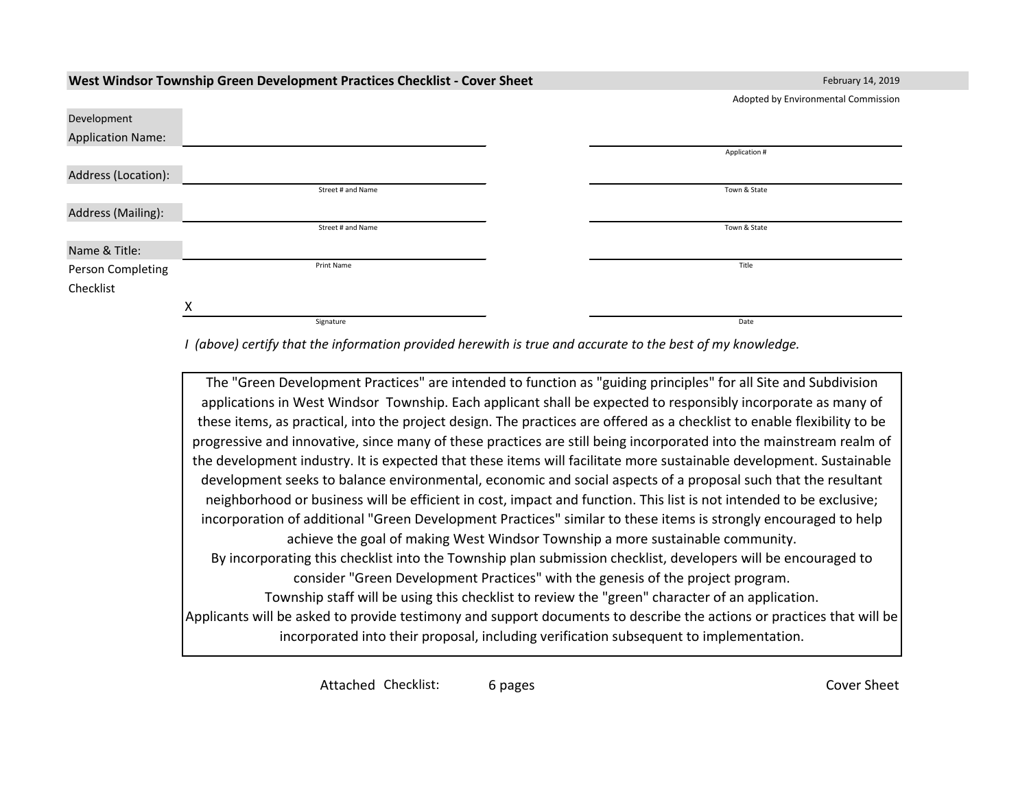|                          |   |                   | Adopted by Environmental Commission |
|--------------------------|---|-------------------|-------------------------------------|
| Development              |   |                   |                                     |
| <b>Application Name:</b> |   |                   |                                     |
|                          |   |                   | Application #                       |
| Address (Location):      |   |                   |                                     |
|                          |   | Street # and Name | Town & State                        |
| Address (Mailing):       |   |                   |                                     |
|                          |   | Street # and Name | Town & State                        |
| Name & Title:            |   |                   |                                     |
| Person Completing        |   | Print Name        | Title                               |
| Checklist                |   |                   |                                     |
|                          | Χ |                   |                                     |
|                          |   | Signature         | Date                                |

**West Windsor Township Green Development Practices Checklist - Cover Sheet** February 14, 2019

*I (above) certify that the information provided herewith is true and accurate to the best of my knowledge.*

The "Green Development Practices" are intended to function as "guiding principles" for all Site and Subdivision applications in West Windsor Township. Each applicant shall be expected to responsibly incorporate as many of these items, as practical, into the project design. The practices are offered as a checklist to enable flexibility to be progressive and innovative, since many of these practices are still being incorporated into the mainstream realm of the development industry. It is expected that these items will facilitate more sustainable development. Sustainable development seeks to balance environmental, economic and social aspects of a proposal such that the resultant neighborhood or business will be efficient in cost, impact and function. This list is not intended to be exclusive; incorporation of additional "Green Development Practices" similar to these items is strongly encouraged to help achieve the goal of making West Windsor Township a more sustainable community. By incorporating this checklist into the Township plan submission checklist, developers will be encouraged to consider "Green Development Practices" with the genesis of the project program. Township staff will be using this checklist to review the "green" character of an application. Applicants will be asked to provide testimony and support documents to describe the actions or practices that will be incorporated into their proposal, including verification subsequent to implementation.

Attached Checklist: 6 pages **Cover Sheet** Cover Sheet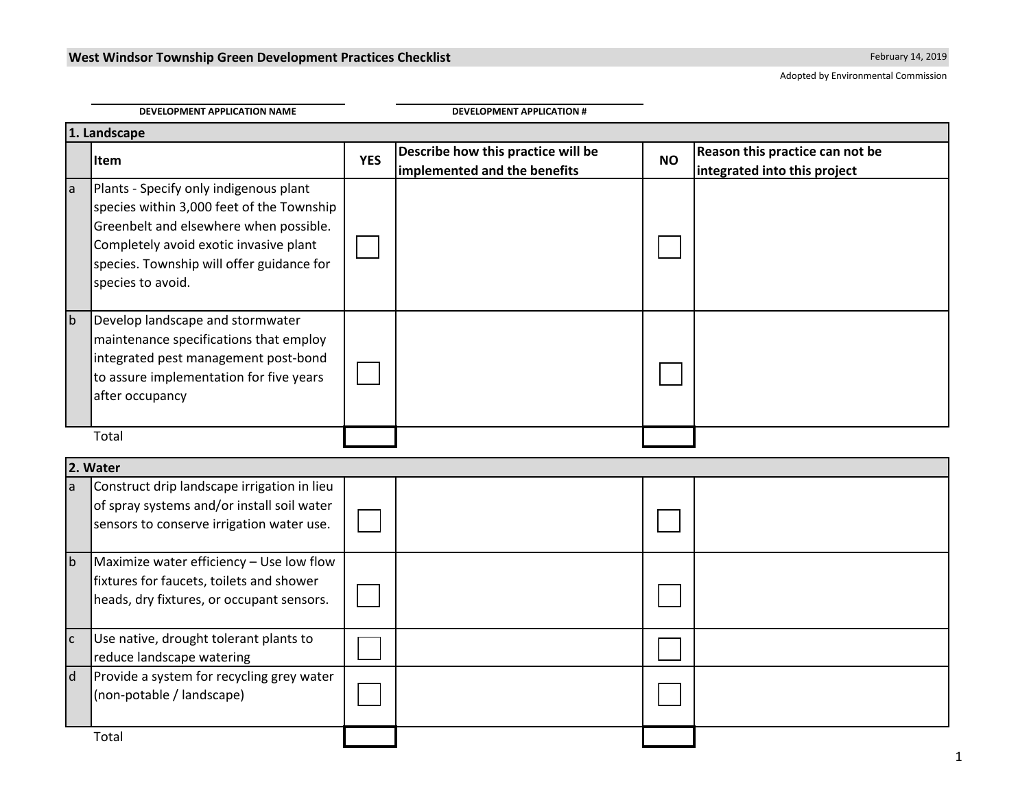Adopted by Environmental Commission

|              | DEVELOPMENT APPLICATION NAME<br><b>DEVELOPMENT APPLICATION #</b>                                                                                                                                                                          |            |                                                                    |           |                                                                 |  |  |
|--------------|-------------------------------------------------------------------------------------------------------------------------------------------------------------------------------------------------------------------------------------------|------------|--------------------------------------------------------------------|-----------|-----------------------------------------------------------------|--|--|
|              | 1. Landscape                                                                                                                                                                                                                              |            |                                                                    |           |                                                                 |  |  |
|              | Item                                                                                                                                                                                                                                      | <b>YES</b> | Describe how this practice will be<br>implemented and the benefits | <b>NO</b> | Reason this practice can not be<br>integrated into this project |  |  |
| a            | Plants - Specify only indigenous plant<br>species within 3,000 feet of the Township<br>Greenbelt and elsewhere when possible.<br>Completely avoid exotic invasive plant<br>species. Township will offer guidance for<br>species to avoid. |            |                                                                    |           |                                                                 |  |  |
| $\mathsf{b}$ | Develop landscape and stormwater<br>maintenance specifications that employ<br>integrated pest management post-bond<br>to assure implementation for five years<br>after occupancy                                                          |            |                                                                    |           |                                                                 |  |  |
|              | Total                                                                                                                                                                                                                                     |            |                                                                    |           |                                                                 |  |  |
|              | 2. Water                                                                                                                                                                                                                                  |            |                                                                    |           |                                                                 |  |  |
| la           | Construct drip landscape irrigation in lieu<br>of spray systems and/or install soil water<br>sensors to conserve irrigation water use.                                                                                                    |            |                                                                    |           |                                                                 |  |  |
| b            | Maximize water efficiency - Use low flow<br>fixtures for faucets, toilets and shower<br>heads, dry fixtures, or occupant sensors.                                                                                                         |            |                                                                    |           |                                                                 |  |  |
| $\mathsf{C}$ | Use native, drought tolerant plants to<br>reduce landscape watering                                                                                                                                                                       |            |                                                                    |           |                                                                 |  |  |
| $\mathsf{d}$ | Provide a system for recycling grey water<br>(non-potable / landscape)                                                                                                                                                                    |            |                                                                    |           |                                                                 |  |  |
|              | Total                                                                                                                                                                                                                                     |            |                                                                    |           |                                                                 |  |  |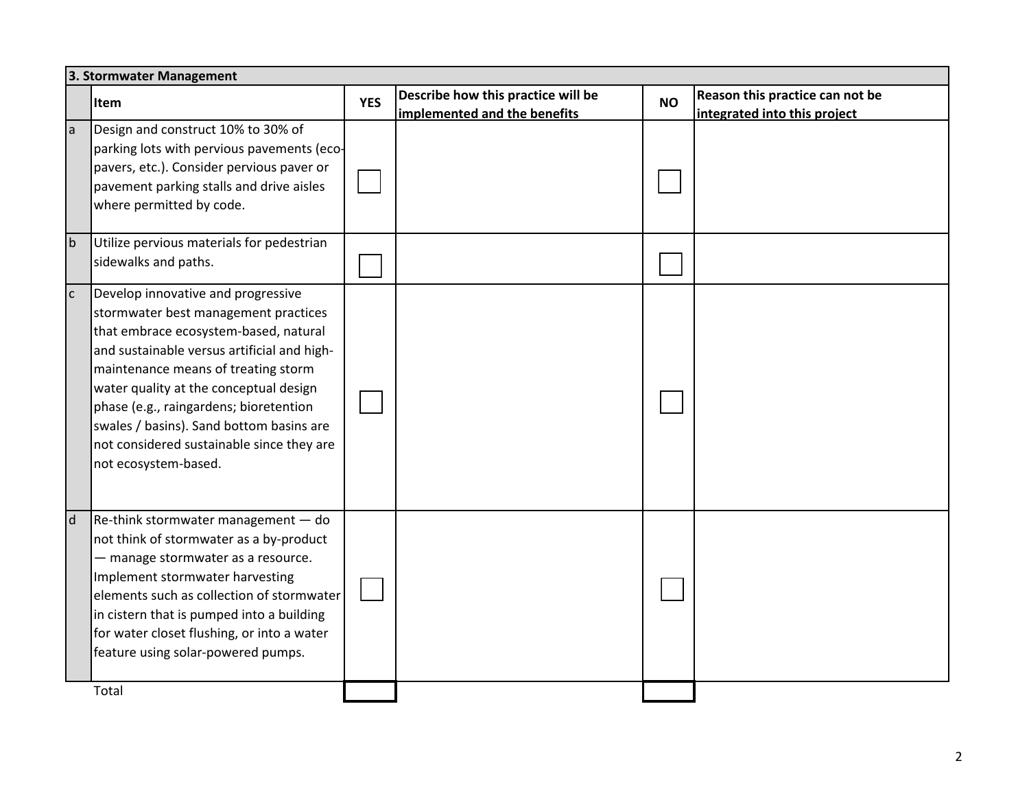|                | 3. Stormwater Management                                                                                                                                                                                                                                                                                                                                                                                       |            |                                                                    |           |                                                                 |  |  |
|----------------|----------------------------------------------------------------------------------------------------------------------------------------------------------------------------------------------------------------------------------------------------------------------------------------------------------------------------------------------------------------------------------------------------------------|------------|--------------------------------------------------------------------|-----------|-----------------------------------------------------------------|--|--|
|                | Item                                                                                                                                                                                                                                                                                                                                                                                                           | <b>YES</b> | Describe how this practice will be<br>implemented and the benefits | <b>NO</b> | Reason this practice can not be<br>integrated into this project |  |  |
| la             | Design and construct 10% to 30% of<br>parking lots with pervious pavements (eco-<br>pavers, etc.). Consider pervious paver or<br>pavement parking stalls and drive aisles<br>where permitted by code.                                                                                                                                                                                                          |            |                                                                    |           |                                                                 |  |  |
| $\mathsf{b}$   | Utilize pervious materials for pedestrian<br>sidewalks and paths.                                                                                                                                                                                                                                                                                                                                              |            |                                                                    |           |                                                                 |  |  |
| $\overline{c}$ | Develop innovative and progressive<br>stormwater best management practices<br>that embrace ecosystem-based, natural<br>and sustainable versus artificial and high-<br>maintenance means of treating storm<br>water quality at the conceptual design<br>phase (e.g., raingardens; bioretention<br>swales / basins). Sand bottom basins are<br>not considered sustainable since they are<br>not ecosystem-based. |            |                                                                    |           |                                                                 |  |  |
| $\mathsf{d}$   | $Re$ -think stormwater management $-$ do<br>not think of stormwater as a by-product<br>- manage stormwater as a resource.<br>Implement stormwater harvesting<br>elements such as collection of stormwater<br>in cistern that is pumped into a building<br>for water closet flushing, or into a water<br>feature using solar-powered pumps.                                                                     |            |                                                                    |           |                                                                 |  |  |
|                | Total                                                                                                                                                                                                                                                                                                                                                                                                          |            |                                                                    |           |                                                                 |  |  |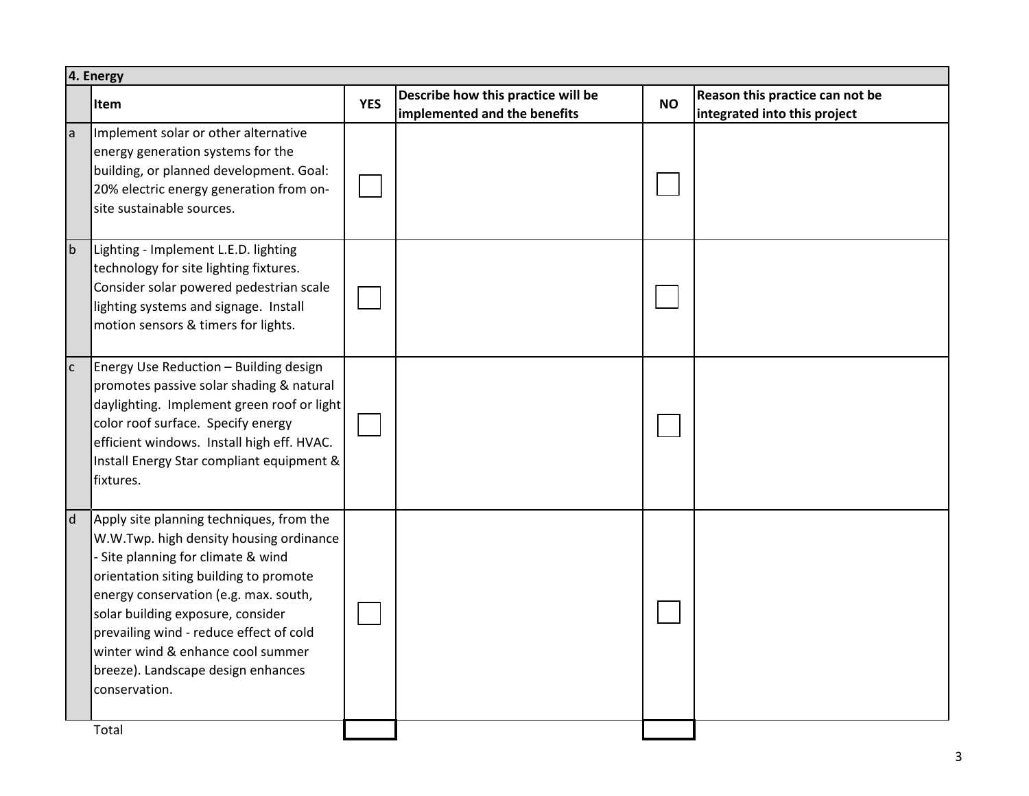|              | 4. Energy                                                                                                                                                                                                                                                                                                                                                                                |            |                                                                    |           |                                                                 |  |  |
|--------------|------------------------------------------------------------------------------------------------------------------------------------------------------------------------------------------------------------------------------------------------------------------------------------------------------------------------------------------------------------------------------------------|------------|--------------------------------------------------------------------|-----------|-----------------------------------------------------------------|--|--|
|              | <b>Item</b>                                                                                                                                                                                                                                                                                                                                                                              | <b>YES</b> | Describe how this practice will be<br>implemented and the benefits | <b>NO</b> | Reason this practice can not be<br>integrated into this project |  |  |
| a            | Implement solar or other alternative<br>energy generation systems for the<br>building, or planned development. Goal:<br>20% electric energy generation from on-<br>site sustainable sources.                                                                                                                                                                                             |            |                                                                    |           |                                                                 |  |  |
| $\mathsf{b}$ | Lighting - Implement L.E.D. lighting<br>technology for site lighting fixtures.<br>Consider solar powered pedestrian scale<br>lighting systems and signage. Install<br>motion sensors & timers for lights.                                                                                                                                                                                |            |                                                                    |           |                                                                 |  |  |
| $\mathsf{C}$ | Energy Use Reduction - Building design<br>promotes passive solar shading & natural<br>daylighting. Implement green roof or light<br>color roof surface. Specify energy<br>efficient windows. Install high eff. HVAC.<br>Install Energy Star compliant equipment &<br>fixtures.                                                                                                           |            |                                                                    |           |                                                                 |  |  |
| d            | Apply site planning techniques, from the<br>W.W.Twp. high density housing ordinance<br>- Site planning for climate & wind<br>orientation siting building to promote<br>energy conservation (e.g. max. south,<br>solar building exposure, consider<br>prevailing wind - reduce effect of cold<br>winter wind & enhance cool summer<br>breeze). Landscape design enhances<br>conservation. |            |                                                                    |           |                                                                 |  |  |
|              | Total                                                                                                                                                                                                                                                                                                                                                                                    |            |                                                                    |           |                                                                 |  |  |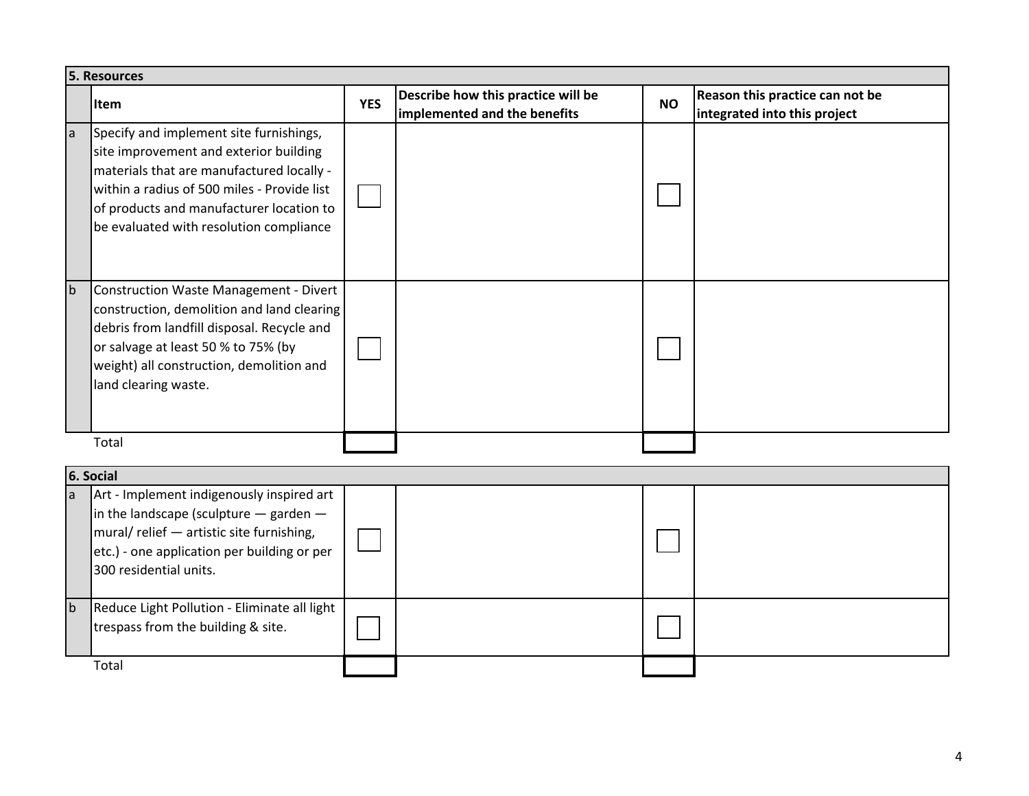|              | <b>5. Resources</b>                                                                                                                                                                                                                                                  |            |                                                                    |           |                                                                 |  |  |
|--------------|----------------------------------------------------------------------------------------------------------------------------------------------------------------------------------------------------------------------------------------------------------------------|------------|--------------------------------------------------------------------|-----------|-----------------------------------------------------------------|--|--|
|              | Item                                                                                                                                                                                                                                                                 | <b>YES</b> | Describe how this practice will be<br>implemented and the benefits | <b>NO</b> | Reason this practice can not be<br>integrated into this project |  |  |
| la           | Specify and implement site furnishings,<br>site improvement and exterior building<br>materials that are manufactured locally -<br>within a radius of 500 miles - Provide list<br>of products and manufacturer location to<br>be evaluated with resolution compliance |            |                                                                    |           |                                                                 |  |  |
| $\mathsf{b}$ | Construction Waste Management - Divert<br>construction, demolition and land clearing<br>debris from landfill disposal. Recycle and<br>or salvage at least 50 % to 75% (by<br>weight) all construction, demolition and<br>land clearing waste.                        |            |                                                                    |           |                                                                 |  |  |
|              | Total                                                                                                                                                                                                                                                                |            |                                                                    |           |                                                                 |  |  |
|              | 6. Social                                                                                                                                                                                                                                                            |            |                                                                    |           |                                                                 |  |  |
| la.          | Art - Implement indigenously inspired art<br>in the landscape (sculpture $-$ garden $-$<br>mural/ relief - artistic site furnishing,<br>etc.) - one application per building or per<br>300 residential units.                                                        |            |                                                                    |           |                                                                 |  |  |
| $\mathsf{b}$ | Reduce Light Pollution - Eliminate all light<br>trespass from the building & site.                                                                                                                                                                                   |            |                                                                    |           |                                                                 |  |  |
|              | Total                                                                                                                                                                                                                                                                |            |                                                                    |           |                                                                 |  |  |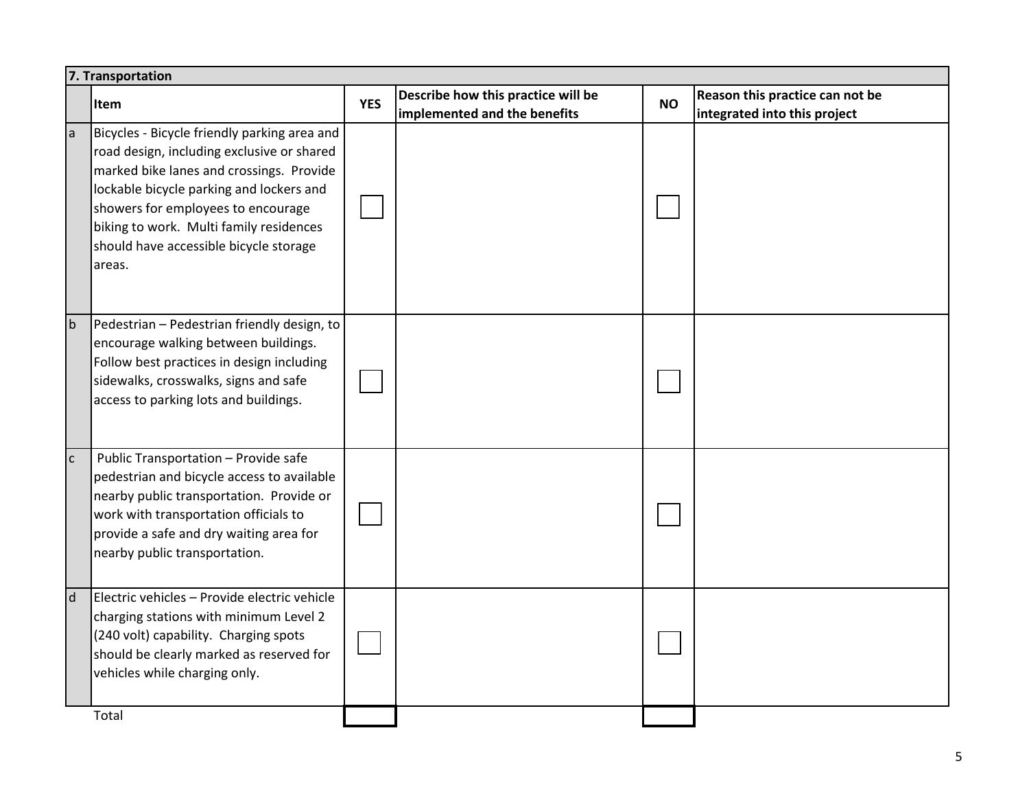|              | 7. Transportation                                                                                                                                                                                                                                                                                                       |            |                                                                    |           |                                                                 |  |  |
|--------------|-------------------------------------------------------------------------------------------------------------------------------------------------------------------------------------------------------------------------------------------------------------------------------------------------------------------------|------------|--------------------------------------------------------------------|-----------|-----------------------------------------------------------------|--|--|
|              | Item                                                                                                                                                                                                                                                                                                                    | <b>YES</b> | Describe how this practice will be<br>implemented and the benefits | <b>NO</b> | Reason this practice can not be<br>integrated into this project |  |  |
| a            | Bicycles - Bicycle friendly parking area and<br>road design, including exclusive or shared<br>marked bike lanes and crossings. Provide<br>lockable bicycle parking and lockers and<br>showers for employees to encourage<br>biking to work. Multi family residences<br>should have accessible bicycle storage<br>areas. |            |                                                                    |           |                                                                 |  |  |
| $\mathsf b$  | Pedestrian - Pedestrian friendly design, to<br>encourage walking between buildings.<br>Follow best practices in design including<br>sidewalks, crosswalks, signs and safe<br>access to parking lots and buildings.                                                                                                      |            |                                                                    |           |                                                                 |  |  |
| $\mathsf{C}$ | Public Transportation - Provide safe<br>pedestrian and bicycle access to available<br>nearby public transportation. Provide or<br>work with transportation officials to<br>provide a safe and dry waiting area for<br>nearby public transportation.                                                                     |            |                                                                    |           |                                                                 |  |  |
| $\mathsf{d}$ | Electric vehicles - Provide electric vehicle<br>charging stations with minimum Level 2<br>(240 volt) capability. Charging spots<br>should be clearly marked as reserved for<br>vehicles while charging only.                                                                                                            |            |                                                                    |           |                                                                 |  |  |
|              | Total                                                                                                                                                                                                                                                                                                                   |            |                                                                    |           |                                                                 |  |  |